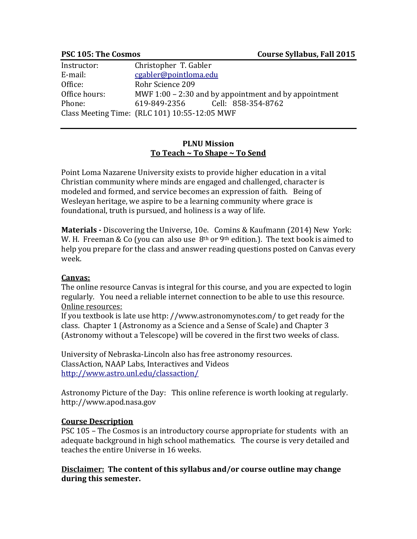| Instructor:   | Christopher T. Gabler                                   |
|---------------|---------------------------------------------------------|
| E-mail:       | cgabler@pointloma.edu                                   |
| Office:       | Rohr Science 209                                        |
| Office hours: | MWF $1:00 - 2:30$ and by appointment and by appointment |
| Phone:        | 619-849-2356 Cell: 858-354-8762                         |
|               | Class Meeting Time: (RLC 101) 10:55-12:05 MWF           |

## **PLNU Mission To Teach ~ To Shape ~ To Send**

Point Loma Nazarene University exists to provide higher education in a vital Christian community where minds are engaged and challenged, character is modeled and formed, and service becomes an expression of faith. Being of Wesleyan heritage, we aspire to be a learning community where grace is foundational, truth is pursued, and holiness is a way of life.

**Materials -** Discovering the Universe, 10e. Comins & Kaufmann (2014) New York: W. H. Freeman & Co (you can also use  $8<sup>th</sup>$  or 9<sup>th</sup> edition.). The text book is aimed to help you prepare for the class and answer reading questions posted on Canvas every week.

## **Canvas:**

The online resource Canvas is integral for this course, and you are expected to login regularly. You need a reliable internet connection to be able to use this resource. Online resources:

If you textbook is late use http: //www.astronomynotes.com/ to get ready for the class. Chapter 1 (Astronomy as a Science and a Sense of Scale) and Chapter 3 (Astronomy without a Telescope) will be covered in the first two weeks of class.

University of Nebraska-Lincoln also has free astronomy resources. ClassAction, NAAP Labs, Interactives and Videos <http://www.astro.unl.edu/classaction/>

Astronomy Picture of the Day: This online reference is worth looking at regularly. http://www.apod.nasa.gov

## **Course Description**

PSC 105 – The Cosmos is an introductory course appropriate for students with an adequate background in high school mathematics. The course is very detailed and teaches the entire Universe in 16 weeks.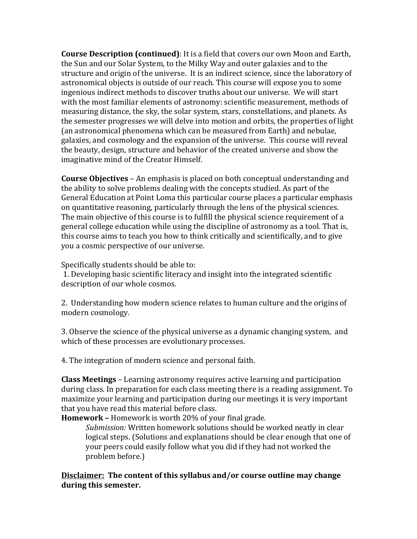**Course Description (continued)**: It is a field that covers our own Moon and Earth, the Sun and our Solar System, to the Milky Way and outer galaxies and to the structure and origin of the universe. It is an indirect science, since the laboratory of astronomical objects is outside of our reach. This course will expose you to some ingenious indirect methods to discover truths about our universe. We will start with the most familiar elements of astronomy: scientific measurement, methods of measuring distance, the sky, the solar system, stars, constellations, and planets. As the semester progresses we will delve into motion and orbits, the properties of light (an astronomical phenomena which can be measured from Earth) and nebulae, galaxies, and cosmology and the expansion of the universe. This course will reveal the beauty, design, structure and behavior of the created universe and show the imaginative mind of the Creator Himself.

**Course Objectives** – An emphasis is placed on both conceptual understanding and the ability to solve problems dealing with the concepts studied. As part of the General Education at Point Loma this particular course places a particular emphasis on quantitative reasoning, particularly through the lens of the physical sciences. The main objective of this course is to fulfill the physical science requirement of a general college education while using the discipline of astronomy as a tool. That is, this course aims to teach you how to think critically and scientifically, and to give you a cosmic perspective of our universe.

Specifically students should be able to:

1. Developing basic scientific literacy and insight into the integrated scientific description of our whole cosmos.

2. Understanding how modern science relates to human culture and the origins of modern cosmology.

3. Observe the science of the physical universe as a dynamic changing system, and which of these processes are evolutionary processes.

4. The integration of modern science and personal faith.

**Class Meetings** – Learning astronomy requires active learning and participation during class. In preparation for each class meeting there is a reading assignment. To maximize your learning and participation during our meetings it is very important that you have read this material before class.

**Homework –** Homework is worth 20% of your final grade.

*Submission:* Written homework solutions should be worked neatly in clear logical steps. (Solutions and explanations should be clear enough that one of your peers could easily follow what you did if they had not worked the problem before.)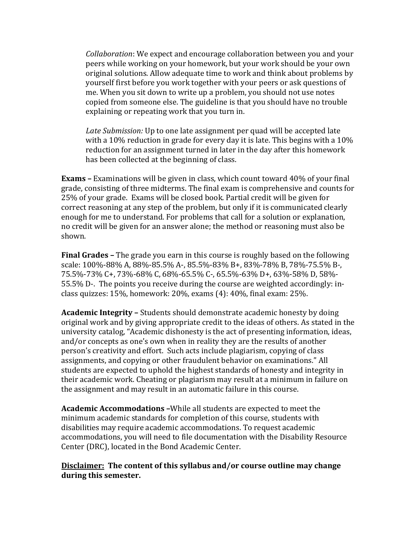*Collaboration*: We expect and encourage collaboration between you and your peers while working on your homework, but your work should be your own original solutions. Allow adequate time to work and think about problems by yourself first before you work together with your peers or ask questions of me. When you sit down to write up a problem, you should not use notes copied from someone else. The guideline is that you should have no trouble explaining or repeating work that you turn in.

*Late Submission:* Up to one late assignment per quad will be accepted late with a 10% reduction in grade for every day it is late. This begins with a 10% reduction for an assignment turned in later in the day after this homework has been collected at the beginning of class.

**Exams –** Examinations will be given in class, which count toward 40% of your final grade, consisting of three midterms. The final exam is comprehensive and counts for 25% of your grade. Exams will be closed book. Partial credit will be given for correct reasoning at any step of the problem, but only if it is communicated clearly enough for me to understand. For problems that call for a solution or explanation, no credit will be given for an answer alone; the method or reasoning must also be shown.

**Final Grades –** The grade you earn in this course is roughly based on the following scale: 100%-88% A, 88%-85.5% A-, 85.5%-83% B+, 83%-78% B, 78%-75.5% B-, 75.5%-73% C+, 73%-68% C, 68%-65.5% C-, 65.5%-63% D+, 63%-58% D, 58%- 55.5% D-. The points you receive during the course are weighted accordingly: inclass quizzes: 15%, homework: 20%, exams (4): 40%, final exam: 25%.

**Academic Integrity –** Students should demonstrate academic honesty by doing original work and by giving appropriate credit to the ideas of others. As stated in the university catalog, "Academic dishonesty is the act of presenting information, ideas, and/or concepts as one's own when in reality they are the results of another person's creativity and effort. Such acts include plagiarism, copying of class assignments, and copying or other fraudulent behavior on examinations." All students are expected to uphold the highest standards of honesty and integrity in their academic work. Cheating or plagiarism may result at a minimum in failure on the assignment and may result in an automatic failure in this course.

**Academic Accommodations –**While all students are expected to meet the minimum academic standards for completion of this course, students with disabilities may require academic accommodations. To request academic accommodations, you will need to file documentation with the Disability Resource Center (DRC), located in the Bond Academic Center.